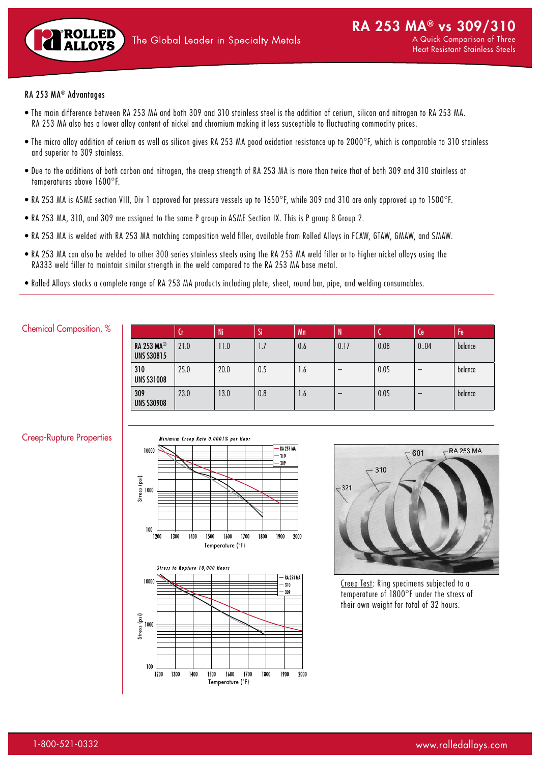

# RA 253 MA® Advantages

- The main difference between RA 253 MA and both 309 and 310 stainless steel is the addition of cerium, silicon and nitrogen to RA 253 MA. RA 253 MA also has a lower alloy content of nickel and chromium making it less susceptible to fluctuating commodity prices.
- The micro alloy addition of cerium as well as silicon gives RA 253 MA good oxidation resistance up to 2000°F, which is comparable to 310 stainless and superior to 309 stainless.
- Due to the additions of both carbon and nitrogen, the creep strength of RA 253 MA is more than twice that of both 309 and 310 stainless at temperatures above 1600°F.
- RA 253 MA is ASME section VIII, Div 1 approved for pressure vessels up to 1650°F, while 309 and 310 are only approved up to 1500°F.
- RA 253 MA, 310, and 309 are assigned to the same P group in ASME Section IX. This is P group 8 Group 2.
- RA 253 MA is welded with RA 253 MA matching composition weld filler, available from Rolled Alloys in FCAW, GTAW, GMAW, and SMAW.
- RA 253 MA can also be welded to other 300 series stainless steels using the RA 253 MA weld filler or to higher nickel alloys using the RA333 weld filler to maintain similar strength in the weld compared to the RA 253 MA base metal.
- Rolled Alloys stocks a complete range of RA 253 MA products including plate, sheet, round bar, pipe, and welding consumables.

## Chemical Composition, %

|                                        | 'Cr  | Ni   | 'Si | Mn  | 'N.  |      | Ce   | Fe      |
|----------------------------------------|------|------|-----|-----|------|------|------|---------|
| <b>RA 253 MA®</b><br><b>UNS S30815</b> | 21.0 | 11.0 | 1.7 | 0.6 | 0.17 | 0.08 | 0.04 | balance |
| 310<br><b>UNS S31008</b>               | 25.0 | 20.0 | 0.5 | 1.6 |      | 0.05 |      | balance |
| 309<br><b>UNS S30908</b>               | 23.0 | 13.0 | 0.8 | 1.6 |      | 0.05 |      | balance |

#### Creep-Rupture Properties







Creep Test: Ring specimens subjected to a temperature of 1800°F under the stress of their own weight for total of 32 hours.